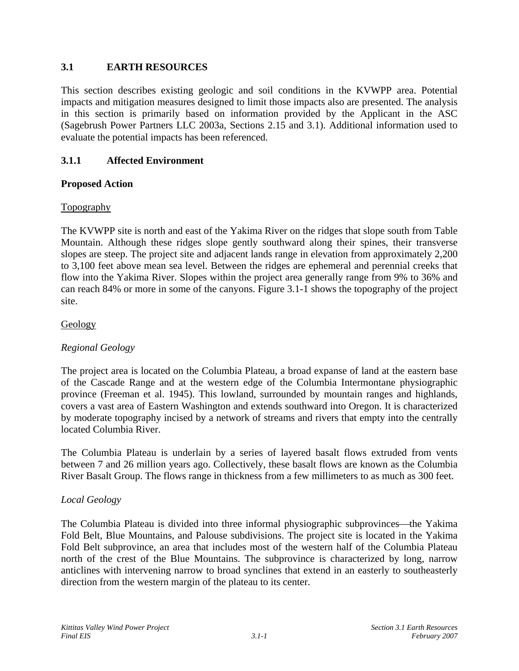# **3.1 EARTH RESOURCES**

This section describes existing geologic and soil conditions in the KVWPP area. Potential impacts and mitigation measures designed to limit those impacts also are presented. The analysis in this section is primarily based on information provided by the Applicant in the ASC (Sagebrush Power Partners LLC 2003a, Sections 2.15 and 3.1). Additional information used to evaluate the potential impacts has been referenced.

# **3.1.1 Affected Environment**

# **Proposed Action**

#### Topography

The KVWPP site is north and east of the Yakima River on the ridges that slope south from Table Mountain. Although these ridges slope gently southward along their spines, their transverse slopes are steep. The project site and adjacent lands range in elevation from approximately 2,200 to 3,100 feet above mean sea level. Between the ridges are ephemeral and perennial creeks that flow into the Yakima River. Slopes within the project area generally range from 9% to 36% and can reach 84% or more in some of the canyons. Figure 3.1-1 shows the topography of the project site.

#### Geology

# *Regional Geology*

The project area is located on the Columbia Plateau, a broad expanse of land at the eastern base of the Cascade Range and at the western edge of the Columbia Intermontane physiographic province (Freeman et al. 1945). This lowland, surrounded by mountain ranges and highlands, covers a vast area of Eastern Washington and extends southward into Oregon. It is characterized by moderate topography incised by a network of streams and rivers that empty into the centrally located Columbia River.

The Columbia Plateau is underlain by a series of layered basalt flows extruded from vents between 7 and 26 million years ago. Collectively, these basalt flows are known as the Columbia River Basalt Group. The flows range in thickness from a few millimeters to as much as 300 feet.

#### *Local Geology*

The Columbia Plateau is divided into three informal physiographic subprovinces—the Yakima Fold Belt, Blue Mountains, and Palouse subdivisions. The project site is located in the Yakima Fold Belt subprovince, an area that includes most of the western half of the Columbia Plateau north of the crest of the Blue Mountains. The subprovince is characterized by long, narrow anticlines with intervening narrow to broad synclines that extend in an easterly to southeasterly direction from the western margin of the plateau to its center.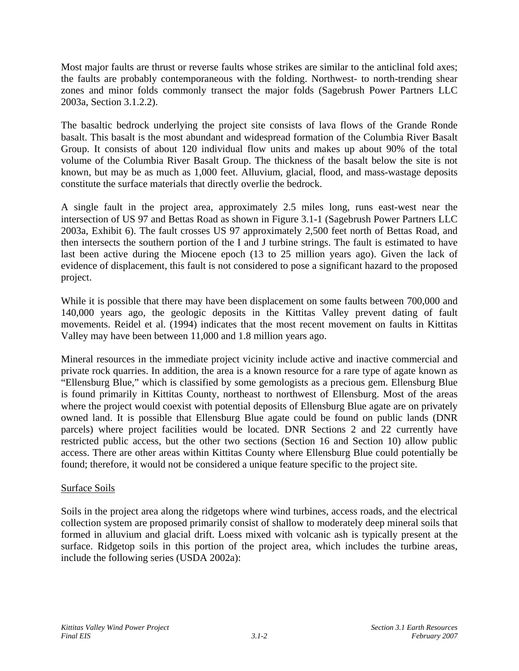Most major faults are thrust or reverse faults whose strikes are similar to the anticlinal fold axes; the faults are probably contemporaneous with the folding. Northwest- to north-trending shear zones and minor folds commonly transect the major folds (Sagebrush Power Partners LLC 2003a, Section 3.1.2.2).

The basaltic bedrock underlying the project site consists of lava flows of the Grande Ronde basalt. This basalt is the most abundant and widespread formation of the Columbia River Basalt Group. It consists of about 120 individual flow units and makes up about 90% of the total volume of the Columbia River Basalt Group. The thickness of the basalt below the site is not known, but may be as much as 1,000 feet. Alluvium, glacial, flood, and mass-wastage deposits constitute the surface materials that directly overlie the bedrock.

A single fault in the project area, approximately 2.5 miles long, runs east-west near the intersection of US 97 and Bettas Road as shown in Figure 3.1-1 (Sagebrush Power Partners LLC 2003a, Exhibit 6). The fault crosses US 97 approximately 2,500 feet north of Bettas Road, and then intersects the southern portion of the I and J turbine strings. The fault is estimated to have last been active during the Miocene epoch (13 to 25 million years ago). Given the lack of evidence of displacement, this fault is not considered to pose a significant hazard to the proposed project.

While it is possible that there may have been displacement on some faults between 700,000 and 140,000 years ago, the geologic deposits in the Kittitas Valley prevent dating of fault movements. Reidel et al. (1994) indicates that the most recent movement on faults in Kittitas Valley may have been between 11,000 and 1.8 million years ago.

Mineral resources in the immediate project vicinity include active and inactive commercial and private rock quarries. In addition, the area is a known resource for a rare type of agate known as "Ellensburg Blue," which is classified by some gemologists as a precious gem. Ellensburg Blue is found primarily in Kittitas County, northeast to northwest of Ellensburg. Most of the areas where the project would coexist with potential deposits of Ellensburg Blue agate are on privately owned land. It is possible that Ellensburg Blue agate could be found on public lands (DNR parcels) where project facilities would be located. DNR Sections 2 and 22 currently have restricted public access, but the other two sections (Section 16 and Section 10) allow public access. There are other areas within Kittitas County where Ellensburg Blue could potentially be found; therefore, it would not be considered a unique feature specific to the project site.

# Surface Soils

Soils in the project area along the ridgetops where wind turbines, access roads, and the electrical collection system are proposed primarily consist of shallow to moderately deep mineral soils that formed in alluvium and glacial drift. Loess mixed with volcanic ash is typically present at the surface. Ridgetop soils in this portion of the project area, which includes the turbine areas, include the following series (USDA 2002a):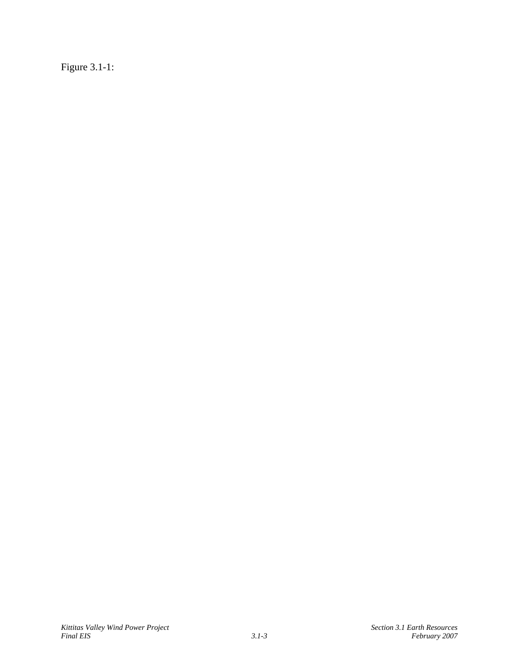Figure 3.1-1: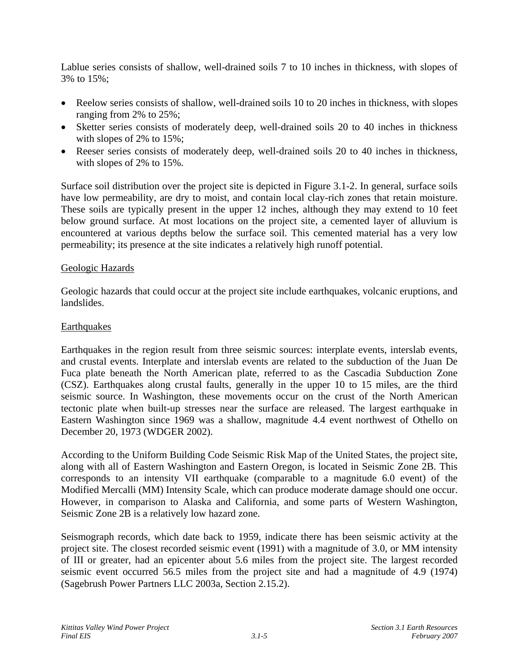Lablue series consists of shallow, well-drained soils 7 to 10 inches in thickness, with slopes of 3% to 15%;

- Reelow series consists of shallow, well-drained soils 10 to 20 inches in thickness, with slopes ranging from 2% to 25%;
- Sketter series consists of moderately deep, well-drained soils 20 to 40 inches in thickness with slopes of 2% to 15%;
- Reeser series consists of moderately deep, well-drained soils 20 to 40 inches in thickness, with slopes of 2% to 15%.

Surface soil distribution over the project site is depicted in Figure 3.1-2. In general, surface soils have low permeability, are dry to moist, and contain local clay-rich zones that retain moisture. These soils are typically present in the upper 12 inches, although they may extend to 10 feet below ground surface. At most locations on the project site, a cemented layer of alluvium is encountered at various depths below the surface soil. This cemented material has a very low permeability; its presence at the site indicates a relatively high runoff potential.

#### Geologic Hazards

Geologic hazards that could occur at the project site include earthquakes, volcanic eruptions, and landslides.

# **Earthquakes**

Earthquakes in the region result from three seismic sources: interplate events, interslab events, and crustal events. Interplate and interslab events are related to the subduction of the Juan De Fuca plate beneath the North American plate, referred to as the Cascadia Subduction Zone (CSZ). Earthquakes along crustal faults, generally in the upper 10 to 15 miles, are the third seismic source. In Washington, these movements occur on the crust of the North American tectonic plate when built-up stresses near the surface are released. The largest earthquake in Eastern Washington since 1969 was a shallow, magnitude 4.4 event northwest of Othello on December 20, 1973 (WDGER 2002).

According to the Uniform Building Code Seismic Risk Map of the United States, the project site, along with all of Eastern Washington and Eastern Oregon, is located in Seismic Zone 2B. This corresponds to an intensity VII earthquake (comparable to a magnitude 6.0 event) of the Modified Mercalli (MM) Intensity Scale, which can produce moderate damage should one occur. However, in comparison to Alaska and California, and some parts of Western Washington, Seismic Zone 2B is a relatively low hazard zone.

Seismograph records, which date back to 1959, indicate there has been seismic activity at the project site. The closest recorded seismic event (1991) with a magnitude of 3.0, or MM intensity of III or greater, had an epicenter about 5.6 miles from the project site. The largest recorded seismic event occurred 56.5 miles from the project site and had a magnitude of 4.9 (1974) (Sagebrush Power Partners LLC 2003a, Section 2.15.2).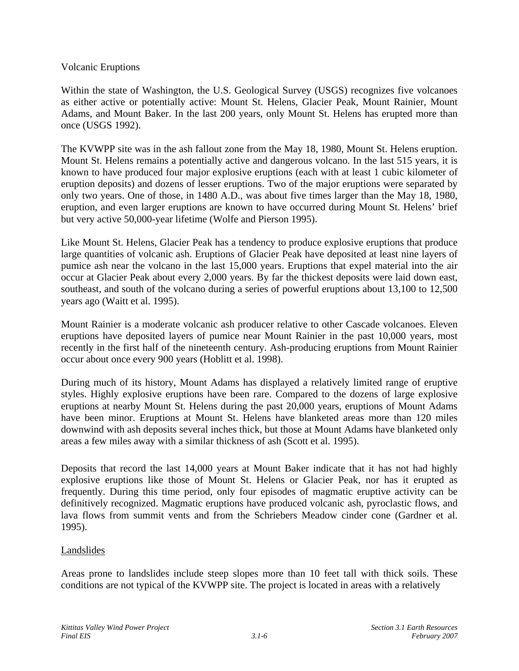#### Volcanic Eruptions

Within the state of Washington, the U.S. Geological Survey (USGS) recognizes five volcanoes as either active or potentially active: Mount St. Helens, Glacier Peak, Mount Rainier, Mount Adams, and Mount Baker. In the last 200 years, only Mount St. Helens has erupted more than once (USGS 1992).

The KVWPP site was in the ash fallout zone from the May 18, 1980, Mount St. Helens eruption. Mount St. Helens remains a potentially active and dangerous volcano. In the last 515 years, it is known to have produced four major explosive eruptions (each with at least 1 cubic kilometer of eruption deposits) and dozens of lesser eruptions. Two of the major eruptions were separated by only two years. One of those, in 1480 A.D., was about five times larger than the May 18, 1980, eruption, and even larger eruptions are known to have occurred during Mount St. Helens' brief but very active 50,000-year lifetime (Wolfe and Pierson 1995).

Like Mount St. Helens, Glacier Peak has a tendency to produce explosive eruptions that produce large quantities of volcanic ash. Eruptions of Glacier Peak have deposited at least nine layers of pumice ash near the volcano in the last 15,000 years. Eruptions that expel material into the air occur at Glacier Peak about every 2,000 years. By far the thickest deposits were laid down east, southeast, and south of the volcano during a series of powerful eruptions about 13,100 to 12,500 years ago (Waitt et al. 1995).

Mount Rainier is a moderate volcanic ash producer relative to other Cascade volcanoes. Eleven eruptions have deposited layers of pumice near Mount Rainier in the past 10,000 years, most recently in the first half of the nineteenth century. Ash-producing eruptions from Mount Rainier occur about once every 900 years (Hoblitt et al. 1998).

During much of its history, Mount Adams has displayed a relatively limited range of eruptive styles. Highly explosive eruptions have been rare. Compared to the dozens of large explosive eruptions at nearby Mount St. Helens during the past 20,000 years, eruptions of Mount Adams have been minor. Eruptions at Mount St. Helens have blanketed areas more than 120 miles downwind with ash deposits several inches thick, but those at Mount Adams have blanketed only areas a few miles away with a similar thickness of ash (Scott et al. 1995).

Deposits that record the last 14,000 years at Mount Baker indicate that it has not had highly explosive eruptions like those of Mount St. Helens or Glacier Peak, nor has it erupted as frequently. During this time period, only four episodes of magmatic eruptive activity can be definitively recognized. Magmatic eruptions have produced volcanic ash, pyroclastic flows, and lava flows from summit vents and from the Schriebers Meadow cinder cone (Gardner et al. 1995).

# Landslides

Areas prone to landslides include steep slopes more than 10 feet tall with thick soils. These conditions are not typical of the KVWPP site. The project is located in areas with a relatively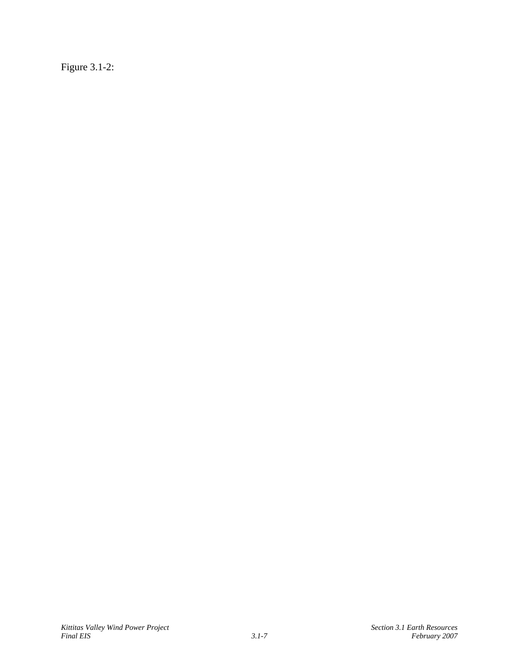Figure 3.1-2: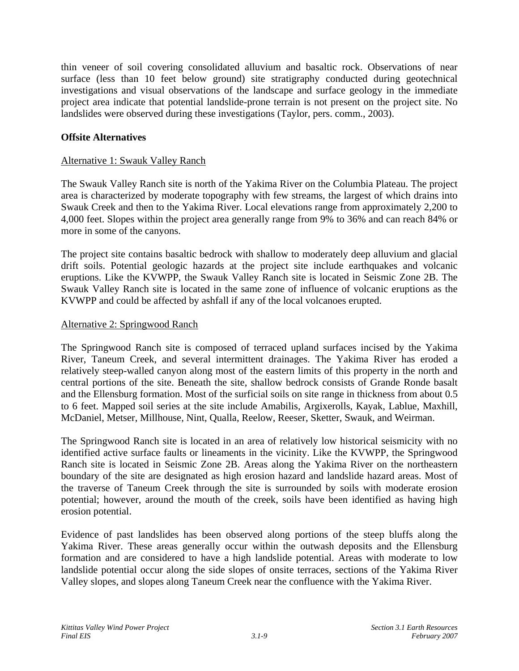thin veneer of soil covering consolidated alluvium and basaltic rock. Observations of near surface (less than 10 feet below ground) site stratigraphy conducted during geotechnical investigations and visual observations of the landscape and surface geology in the immediate project area indicate that potential landslide-prone terrain is not present on the project site. No landslides were observed during these investigations (Taylor, pers. comm., 2003).

# **Offsite Alternatives**

#### Alternative 1: Swauk Valley Ranch

The Swauk Valley Ranch site is north of the Yakima River on the Columbia Plateau. The project area is characterized by moderate topography with few streams, the largest of which drains into Swauk Creek and then to the Yakima River. Local elevations range from approximately 2,200 to 4,000 feet. Slopes within the project area generally range from 9% to 36% and can reach 84% or more in some of the canyons.

The project site contains basaltic bedrock with shallow to moderately deep alluvium and glacial drift soils. Potential geologic hazards at the project site include earthquakes and volcanic eruptions. Like the KVWPP, the Swauk Valley Ranch site is located in Seismic Zone 2B. The Swauk Valley Ranch site is located in the same zone of influence of volcanic eruptions as the KVWPP and could be affected by ashfall if any of the local volcanoes erupted.

#### Alternative 2: Springwood Ranch

The Springwood Ranch site is composed of terraced upland surfaces incised by the Yakima River, Taneum Creek, and several intermittent drainages. The Yakima River has eroded a relatively steep-walled canyon along most of the eastern limits of this property in the north and central portions of the site. Beneath the site, shallow bedrock consists of Grande Ronde basalt and the Ellensburg formation. Most of the surficial soils on site range in thickness from about 0.5 to 6 feet. Mapped soil series at the site include Amabilis, Argixerolls, Kayak, Lablue, Maxhill, McDaniel, Metser, Millhouse, Nint, Qualla, Reelow, Reeser, Sketter, Swauk, and Weirman.

The Springwood Ranch site is located in an area of relatively low historical seismicity with no identified active surface faults or lineaments in the vicinity. Like the KVWPP, the Springwood Ranch site is located in Seismic Zone 2B. Areas along the Yakima River on the northeastern boundary of the site are designated as high erosion hazard and landslide hazard areas. Most of the traverse of Taneum Creek through the site is surrounded by soils with moderate erosion potential; however, around the mouth of the creek, soils have been identified as having high erosion potential.

Evidence of past landslides has been observed along portions of the steep bluffs along the Yakima River. These areas generally occur within the outwash deposits and the Ellensburg formation and are considered to have a high landslide potential. Areas with moderate to low landslide potential occur along the side slopes of onsite terraces, sections of the Yakima River Valley slopes, and slopes along Taneum Creek near the confluence with the Yakima River.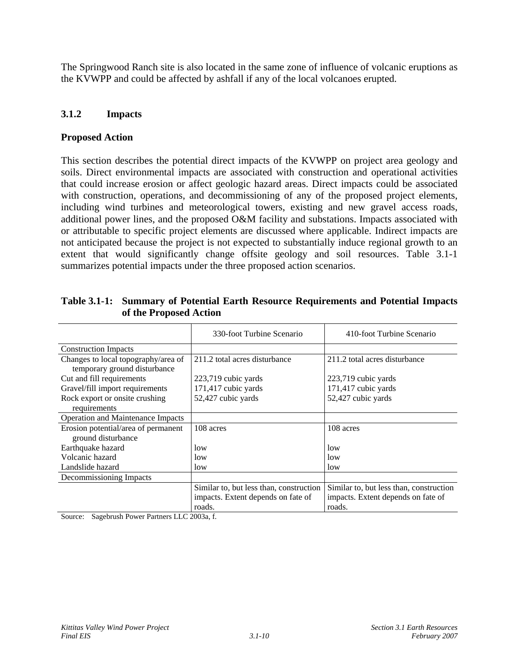The Springwood Ranch site is also located in the same zone of influence of volcanic eruptions as the KVWPP and could be affected by ashfall if any of the local volcanoes erupted.

# **3.1.2 Impacts**

#### **Proposed Action**

This section describes the potential direct impacts of the KVWPP on project area geology and soils. Direct environmental impacts are associated with construction and operational activities that could increase erosion or affect geologic hazard areas. Direct impacts could be associated with construction, operations, and decommissioning of any of the proposed project elements, including wind turbines and meteorological towers, existing and new gravel access roads, additional power lines, and the proposed O&M facility and substations. Impacts associated with or attributable to specific project elements are discussed where applicable. Indirect impacts are not anticipated because the project is not expected to substantially induce regional growth to an extent that would significantly change offsite geology and soil resources. Table 3.1-1 summarizes potential impacts under the three proposed action scenarios.

|                                     | 330-foot Turbine Scenario               | 410-foot Turbine Scenario               |  |  |
|-------------------------------------|-----------------------------------------|-----------------------------------------|--|--|
| <b>Construction Impacts</b>         |                                         |                                         |  |  |
| Changes to local topography/area of | 211.2 total acres disturbance           | 211.2 total acres disturbance           |  |  |
| temporary ground disturbance        |                                         |                                         |  |  |
| Cut and fill requirements           | 223,719 cubic yards                     | 223,719 cubic yards                     |  |  |
| Gravel/fill import requirements     | 171,417 cubic yards                     | 171,417 cubic yards                     |  |  |
| Rock export or onsite crushing      | 52,427 cubic yards                      | 52,427 cubic yards                      |  |  |
| requirements                        |                                         |                                         |  |  |
| Operation and Maintenance Impacts   |                                         |                                         |  |  |
| Erosion potential/area of permanent | 108 acres                               | 108 acres                               |  |  |
| ground disturbance                  |                                         |                                         |  |  |
| Earthquake hazard                   | low                                     | low                                     |  |  |
| Volcanic hazard                     | low                                     | low                                     |  |  |
| Landslide hazard                    | low                                     | low                                     |  |  |
| Decommissioning Impacts             |                                         |                                         |  |  |
|                                     | Similar to, but less than, construction | Similar to, but less than, construction |  |  |
|                                     | impacts. Extent depends on fate of      | impacts. Extent depends on fate of      |  |  |
|                                     | roads.                                  | roads.                                  |  |  |

**Table 3.1-1: Summary of Potential Earth Resource Requirements and Potential Impacts of the Proposed Action** 

Source: Sagebrush Power Partners LLC 2003a, f.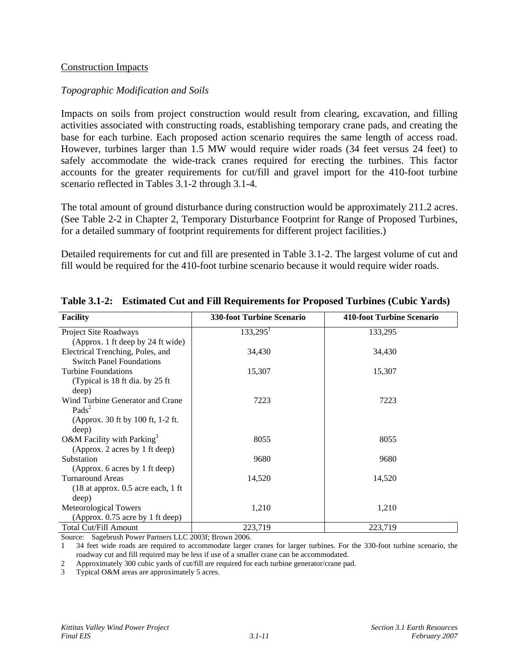#### Construction Impacts

#### *Topographic Modification and Soils*

Impacts on soils from project construction would result from clearing, excavation, and filling activities associated with constructing roads, establishing temporary crane pads, and creating the base for each turbine. Each proposed action scenario requires the same length of access road. However, turbines larger than 1.5 MW would require wider roads (34 feet versus 24 feet) to safely accommodate the wide-track cranes required for erecting the turbines. This factor accounts for the greater requirements for cut/fill and gravel import for the 410-foot turbine scenario reflected in Tables 3.1-2 through 3.1-4.

The total amount of ground disturbance during construction would be approximately 211.2 acres. (See Table 2-2 in Chapter 2, Temporary Disturbance Footprint for Range of Proposed Turbines, for a detailed summary of footprint requirements for different project facilities.)

Detailed requirements for cut and fill are presented in Table 3.1-2. The largest volume of cut and fill would be required for the 410-foot turbine scenario because it would require wider roads.

| <b>Facility</b>                                    | <b>330-foot Turbine Scenario</b> | 410-foot Turbine Scenario |
|----------------------------------------------------|----------------------------------|---------------------------|
| Project Site Roadways                              | $133,295^1$                      | 133,295                   |
| (Approx. 1 ft deep by 24 ft wide)                  |                                  |                           |
| Electrical Trenching, Poles, and                   | 34,430                           | 34,430                    |
| <b>Switch Panel Foundations</b>                    |                                  |                           |
| <b>Turbine Foundations</b>                         | 15,307                           | 15,307                    |
| (Typical is 18 ft dia. by 25 ft                    |                                  |                           |
| deep)                                              |                                  |                           |
| Wind Turbine Generator and Crane                   | 7223                             | 7223                      |
| Pads <sup>2</sup>                                  |                                  |                           |
| (Approx. 30 ft by 100 ft, 1-2 ft.)                 |                                  |                           |
| deep)                                              |                                  |                           |
| O&M Facility with Parking <sup>3</sup>             | 8055                             | 8055                      |
| (Approx. 2 acres by 1 ft deep)                     |                                  |                           |
| Substation                                         | 9680                             | 9680                      |
| (Approx. 6 acres by 1 ft deep)<br>Turnaround Areas | 14,520                           | 14,520                    |
| $(18$ at approx. 0.5 acre each, 1 ft               |                                  |                           |
| deep)                                              |                                  |                           |
| Meteorological Towers                              | 1,210                            | 1,210                     |
| (Approx. 0.75 acre by 1 ft deep)                   |                                  |                           |
| <b>Total Cut/Fill Amount</b>                       | 223,719                          | 223,719                   |

#### **Table 3.1-2: Estimated Cut and Fill Requirements for Proposed Turbines (Cubic Yards)**

Source: Sagebrush Power Partners LLC 2003f; Brown 2006.

1 34 feet wide roads are required to accommodate larger cranes for larger turbines. For the 330-foot turbine scenario, the roadway cut and fill required may be less if use of a smaller crane can be accommodated.

2 Approximately 300 cubic yards of cut/fill are required for each turbine generator/crane pad.

3 Typical O&M areas are approximately 5 acres.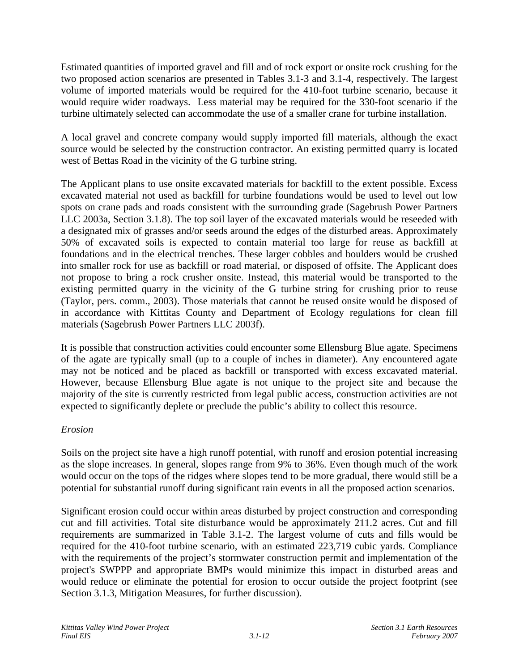Estimated quantities of imported gravel and fill and of rock export or onsite rock crushing for the two proposed action scenarios are presented in Tables 3.1-3 and 3.1-4, respectively. The largest volume of imported materials would be required for the 410-foot turbine scenario, because it would require wider roadways. Less material may be required for the 330-foot scenario if the turbine ultimately selected can accommodate the use of a smaller crane for turbine installation.

A local gravel and concrete company would supply imported fill materials, although the exact source would be selected by the construction contractor. An existing permitted quarry is located west of Bettas Road in the vicinity of the G turbine string.

The Applicant plans to use onsite excavated materials for backfill to the extent possible. Excess excavated material not used as backfill for turbine foundations would be used to level out low spots on crane pads and roads consistent with the surrounding grade (Sagebrush Power Partners LLC 2003a, Section 3.1.8). The top soil layer of the excavated materials would be reseeded with a designated mix of grasses and/or seeds around the edges of the disturbed areas. Approximately 50% of excavated soils is expected to contain material too large for reuse as backfill at foundations and in the electrical trenches. These larger cobbles and boulders would be crushed into smaller rock for use as backfill or road material, or disposed of offsite. The Applicant does not propose to bring a rock crusher onsite. Instead, this material would be transported to the existing permitted quarry in the vicinity of the G turbine string for crushing prior to reuse (Taylor, pers. comm., 2003). Those materials that cannot be reused onsite would be disposed of in accordance with Kittitas County and Department of Ecology regulations for clean fill materials (Sagebrush Power Partners LLC 2003f).

It is possible that construction activities could encounter some Ellensburg Blue agate. Specimens of the agate are typically small (up to a couple of inches in diameter). Any encountered agate may not be noticed and be placed as backfill or transported with excess excavated material. However, because Ellensburg Blue agate is not unique to the project site and because the majority of the site is currently restricted from legal public access, construction activities are not expected to significantly deplete or preclude the public's ability to collect this resource.

# *Erosion*

Soils on the project site have a high runoff potential, with runoff and erosion potential increasing as the slope increases. In general, slopes range from 9% to 36%. Even though much of the work would occur on the tops of the ridges where slopes tend to be more gradual, there would still be a potential for substantial runoff during significant rain events in all the proposed action scenarios.

Significant erosion could occur within areas disturbed by project construction and corresponding cut and fill activities. Total site disturbance would be approximately 211.2 acres. Cut and fill requirements are summarized in Table 3.1-2. The largest volume of cuts and fills would be required for the 410-foot turbine scenario, with an estimated 223,719 cubic yards. Compliance with the requirements of the project's stormwater construction permit and implementation of the project's SWPPP and appropriate BMPs would minimize this impact in disturbed areas and would reduce or eliminate the potential for erosion to occur outside the project footprint (see Section 3.1.3, Mitigation Measures, for further discussion).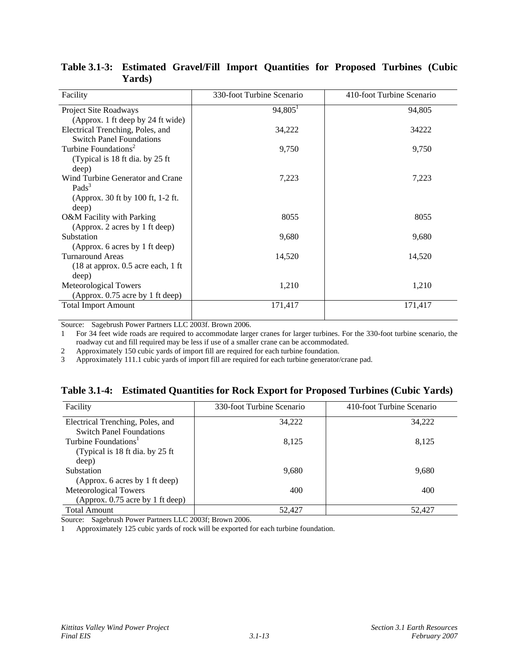| Facility                                                  | 330-foot Turbine Scenario | 410-foot Turbine Scenario |
|-----------------------------------------------------------|---------------------------|---------------------------|
| Project Site Roadways                                     | $94,805$ <sup>1</sup>     | 94,805                    |
| (Approx. 1 ft deep by 24 ft wide)                         |                           |                           |
| Electrical Trenching, Poles, and                          | 34,222                    | 34222                     |
| <b>Switch Panel Foundations</b>                           |                           |                           |
| Turbine Foundations <sup>2</sup>                          | 9,750                     | 9,750                     |
| (Typical is 18 ft dia. by 25 ft                           |                           |                           |
| deep)                                                     |                           |                           |
| Wind Turbine Generator and Crane                          | 7,223                     | 7,223                     |
| Pads <sup>3</sup>                                         |                           |                           |
| (Approx. 30 ft by 100 ft, 1-2 ft.                         |                           |                           |
| deep)                                                     |                           |                           |
| O&M Facility with Parking                                 | 8055                      | 8055                      |
| (Approx. 2 acres by 1 ft deep)<br>Substation              |                           |                           |
|                                                           | 9,680                     | 9,680                     |
| (Approx. 6 acres by 1 ft deep)<br><b>Turnaround Areas</b> | 14,520                    | 14,520                    |
| $(18$ at approx. 0.5 acre each, 1 ft                      |                           |                           |
| deep)                                                     |                           |                           |
| <b>Meteorological Towers</b>                              | 1,210                     | 1,210                     |
| (Approx. 0.75 acre by 1 ft deep)                          |                           |                           |
| <b>Total Import Amount</b>                                | 171,417                   | 171,417                   |
|                                                           |                           |                           |

**Table 3.1-3: Estimated Gravel/Fill Import Quantities for Proposed Turbines (Cubic Yards)** 

Source: Sagebrush Power Partners LLC 2003f. Brown 2006.

1 For 34 feet wide roads are required to accommodate larger cranes for larger turbines. For the 330-foot turbine scenario, the roadway cut and fill required may be less if use of a smaller crane can be accommodated.

2 Approximately 150 cubic yards of import fill are required for each turbine foundation.

3 Approximately 111.1 cubic yards of import fill are required for each turbine generator/crane pad.

|  |  | Table 3.1-4: Estimated Quantities for Rock Export for Proposed Turbines (Cubic Yards) |  |  |  |  |  |  |
|--|--|---------------------------------------------------------------------------------------|--|--|--|--|--|--|
|--|--|---------------------------------------------------------------------------------------|--|--|--|--|--|--|

| Facility                         | 330-foot Turbine Scenario | 410-foot Turbine Scenario |  |  |
|----------------------------------|---------------------------|---------------------------|--|--|
| Electrical Trenching, Poles, and | 34,222                    | 34.222                    |  |  |
| <b>Switch Panel Foundations</b>  |                           |                           |  |  |
| Turbine Foundations <sup>1</sup> | 8,125                     | 8.125                     |  |  |
| (Typical is 18 ft dia. by 25 ft) |                           |                           |  |  |
| deep)                            |                           |                           |  |  |
| Substation                       | 9,680                     | 9.680                     |  |  |
| (Approx. 6 acres by 1 ft deep)   |                           |                           |  |  |
| Meteorological Towers            | 400                       | 400                       |  |  |
| (Approx. 0.75 acre by 1 ft deep) |                           |                           |  |  |
| <b>Total Amount</b>              | 52.427                    | 52,427                    |  |  |

Source: Sagebrush Power Partners LLC 2003f; Brown 2006.

1 Approximately 125 cubic yards of rock will be exported for each turbine foundation.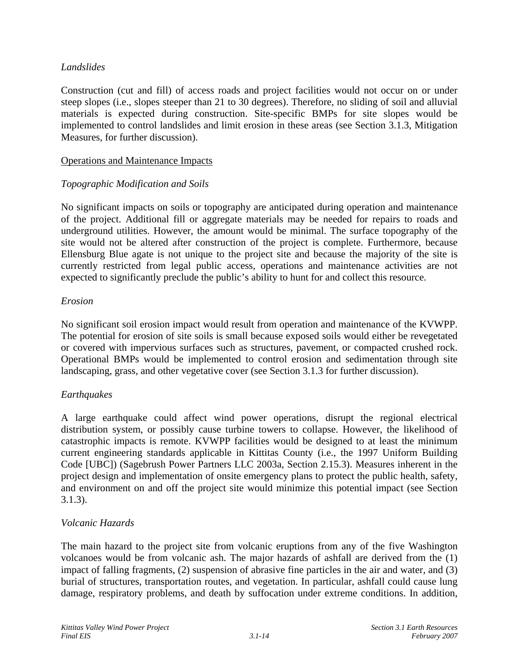# *Landslides*

Construction (cut and fill) of access roads and project facilities would not occur on or under steep slopes (i.e., slopes steeper than 21 to 30 degrees). Therefore, no sliding of soil and alluvial materials is expected during construction. Site-specific BMPs for site slopes would be implemented to control landslides and limit erosion in these areas (see Section 3.1.3, Mitigation Measures, for further discussion).

#### Operations and Maintenance Impacts

# *Topographic Modification and Soils*

No significant impacts on soils or topography are anticipated during operation and maintenance of the project. Additional fill or aggregate materials may be needed for repairs to roads and underground utilities. However, the amount would be minimal. The surface topography of the site would not be altered after construction of the project is complete. Furthermore, because Ellensburg Blue agate is not unique to the project site and because the majority of the site is currently restricted from legal public access, operations and maintenance activities are not expected to significantly preclude the public's ability to hunt for and collect this resource.

# *Erosion*

No significant soil erosion impact would result from operation and maintenance of the KVWPP. The potential for erosion of site soils is small because exposed soils would either be revegetated or covered with impervious surfaces such as structures, pavement, or compacted crushed rock. Operational BMPs would be implemented to control erosion and sedimentation through site landscaping, grass, and other vegetative cover (see Section 3.1.3 for further discussion).

# *Earthquakes*

A large earthquake could affect wind power operations, disrupt the regional electrical distribution system, or possibly cause turbine towers to collapse. However, the likelihood of catastrophic impacts is remote. KVWPP facilities would be designed to at least the minimum current engineering standards applicable in Kittitas County (i.e., the 1997 Uniform Building Code [UBC]) (Sagebrush Power Partners LLC 2003a, Section 2.15.3). Measures inherent in the project design and implementation of onsite emergency plans to protect the public health, safety, and environment on and off the project site would minimize this potential impact (see Section 3.1.3).

# *Volcanic Hazards*

The main hazard to the project site from volcanic eruptions from any of the five Washington volcanoes would be from volcanic ash. The major hazards of ashfall are derived from the (1) impact of falling fragments, (2) suspension of abrasive fine particles in the air and water, and (3) burial of structures, transportation routes, and vegetation. In particular, ashfall could cause lung damage, respiratory problems, and death by suffocation under extreme conditions. In addition,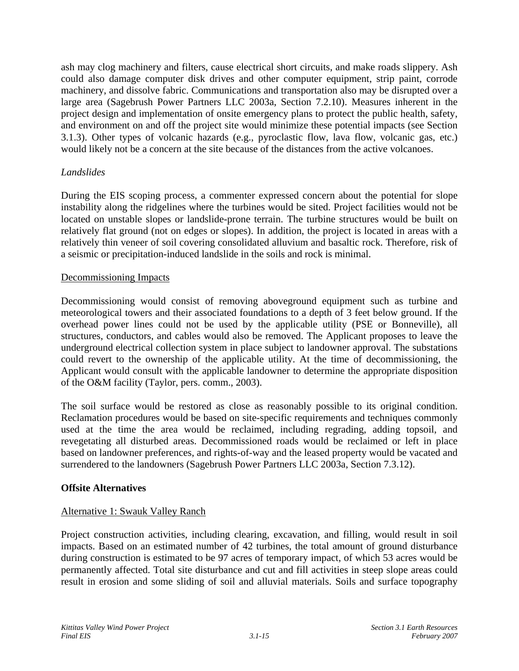ash may clog machinery and filters, cause electrical short circuits, and make roads slippery. Ash could also damage computer disk drives and other computer equipment, strip paint, corrode machinery, and dissolve fabric. Communications and transportation also may be disrupted over a large area (Sagebrush Power Partners LLC 2003a, Section 7.2.10). Measures inherent in the project design and implementation of onsite emergency plans to protect the public health, safety, and environment on and off the project site would minimize these potential impacts (see Section 3.1.3). Other types of volcanic hazards (e.g., pyroclastic flow, lava flow, volcanic gas, etc.) would likely not be a concern at the site because of the distances from the active volcanoes.

# *Landslides*

During the EIS scoping process, a commenter expressed concern about the potential for slope instability along the ridgelines where the turbines would be sited. Project facilities would not be located on unstable slopes or landslide-prone terrain. The turbine structures would be built on relatively flat ground (not on edges or slopes). In addition, the project is located in areas with a relatively thin veneer of soil covering consolidated alluvium and basaltic rock. Therefore, risk of a seismic or precipitation-induced landslide in the soils and rock is minimal.

#### Decommissioning Impacts

Decommissioning would consist of removing aboveground equipment such as turbine and meteorological towers and their associated foundations to a depth of 3 feet below ground. If the overhead power lines could not be used by the applicable utility (PSE or Bonneville), all structures, conductors, and cables would also be removed. The Applicant proposes to leave the underground electrical collection system in place subject to landowner approval. The substations could revert to the ownership of the applicable utility. At the time of decommissioning, the Applicant would consult with the applicable landowner to determine the appropriate disposition of the O&M facility (Taylor, pers. comm., 2003).

The soil surface would be restored as close as reasonably possible to its original condition. Reclamation procedures would be based on site-specific requirements and techniques commonly used at the time the area would be reclaimed, including regrading, adding topsoil, and revegetating all disturbed areas. Decommissioned roads would be reclaimed or left in place based on landowner preferences, and rights-of-way and the leased property would be vacated and surrendered to the landowners (Sagebrush Power Partners LLC 2003a, Section 7.3.12).

#### **Offsite Alternatives**

# Alternative 1: Swauk Valley Ranch

Project construction activities, including clearing, excavation, and filling, would result in soil impacts. Based on an estimated number of 42 turbines, the total amount of ground disturbance during construction is estimated to be 97 acres of temporary impact, of which 53 acres would be permanently affected. Total site disturbance and cut and fill activities in steep slope areas could result in erosion and some sliding of soil and alluvial materials. Soils and surface topography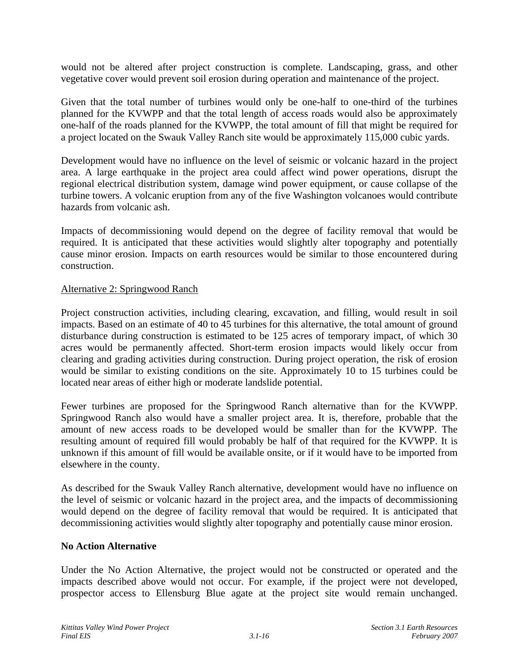would not be altered after project construction is complete. Landscaping, grass, and other vegetative cover would prevent soil erosion during operation and maintenance of the project.

Given that the total number of turbines would only be one-half to one-third of the turbines planned for the KVWPP and that the total length of access roads would also be approximately one-half of the roads planned for the KVWPP, the total amount of fill that might be required for a project located on the Swauk Valley Ranch site would be approximately 115,000 cubic yards.

Development would have no influence on the level of seismic or volcanic hazard in the project area. A large earthquake in the project area could affect wind power operations, disrupt the regional electrical distribution system, damage wind power equipment, or cause collapse of the turbine towers. A volcanic eruption from any of the five Washington volcanoes would contribute hazards from volcanic ash.

Impacts of decommissioning would depend on the degree of facility removal that would be required. It is anticipated that these activities would slightly alter topography and potentially cause minor erosion. Impacts on earth resources would be similar to those encountered during construction.

#### Alternative 2: Springwood Ranch

Project construction activities, including clearing, excavation, and filling, would result in soil impacts. Based on an estimate of 40 to 45 turbines for this alternative, the total amount of ground disturbance during construction is estimated to be 125 acres of temporary impact, of which 30 acres would be permanently affected. Short-term erosion impacts would likely occur from clearing and grading activities during construction. During project operation, the risk of erosion would be similar to existing conditions on the site. Approximately 10 to 15 turbines could be located near areas of either high or moderate landslide potential.

Fewer turbines are proposed for the Springwood Ranch alternative than for the KVWPP. Springwood Ranch also would have a smaller project area. It is, therefore, probable that the amount of new access roads to be developed would be smaller than for the KVWPP. The resulting amount of required fill would probably be half of that required for the KVWPP. It is unknown if this amount of fill would be available onsite, or if it would have to be imported from elsewhere in the county.

As described for the Swauk Valley Ranch alternative, development would have no influence on the level of seismic or volcanic hazard in the project area, and the impacts of decommissioning would depend on the degree of facility removal that would be required. It is anticipated that decommissioning activities would slightly alter topography and potentially cause minor erosion.

#### **No Action Alternative**

Under the No Action Alternative, the project would not be constructed or operated and the impacts described above would not occur. For example, if the project were not developed, prospector access to Ellensburg Blue agate at the project site would remain unchanged.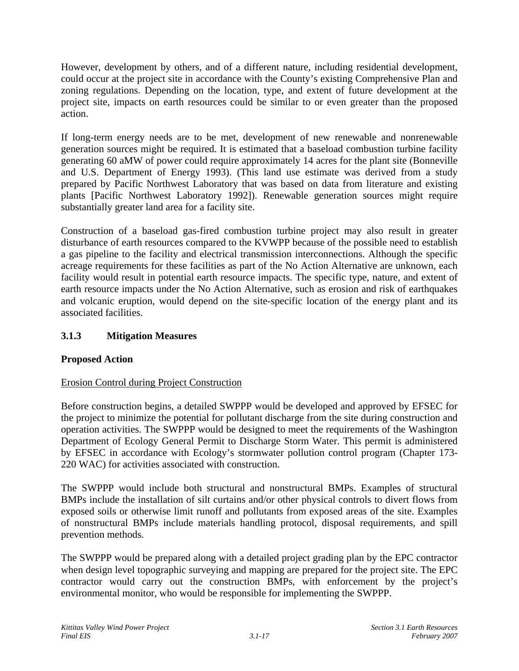However, development by others, and of a different nature, including residential development, could occur at the project site in accordance with the County's existing Comprehensive Plan and zoning regulations. Depending on the location, type, and extent of future development at the project site, impacts on earth resources could be similar to or even greater than the proposed action.

If long-term energy needs are to be met, development of new renewable and nonrenewable generation sources might be required. It is estimated that a baseload combustion turbine facility generating 60 aMW of power could require approximately 14 acres for the plant site (Bonneville and U.S. Department of Energy 1993). (This land use estimate was derived from a study prepared by Pacific Northwest Laboratory that was based on data from literature and existing plants [Pacific Northwest Laboratory 1992]). Renewable generation sources might require substantially greater land area for a facility site.

Construction of a baseload gas-fired combustion turbine project may also result in greater disturbance of earth resources compared to the KVWPP because of the possible need to establish a gas pipeline to the facility and electrical transmission interconnections. Although the specific acreage requirements for these facilities as part of the No Action Alternative are unknown, each facility would result in potential earth resource impacts. The specific type, nature, and extent of earth resource impacts under the No Action Alternative, such as erosion and risk of earthquakes and volcanic eruption, would depend on the site-specific location of the energy plant and its associated facilities.

# **3.1.3 Mitigation Measures**

# **Proposed Action**

# Erosion Control during Project Construction

Before construction begins, a detailed SWPPP would be developed and approved by EFSEC for the project to minimize the potential for pollutant discharge from the site during construction and operation activities. The SWPPP would be designed to meet the requirements of the Washington Department of Ecology General Permit to Discharge Storm Water. This permit is administered by EFSEC in accordance with Ecology's stormwater pollution control program (Chapter 173- 220 WAC) for activities associated with construction.

The SWPPP would include both structural and nonstructural BMPs. Examples of structural BMPs include the installation of silt curtains and/or other physical controls to divert flows from exposed soils or otherwise limit runoff and pollutants from exposed areas of the site. Examples of nonstructural BMPs include materials handling protocol, disposal requirements, and spill prevention methods.

The SWPPP would be prepared along with a detailed project grading plan by the EPC contractor when design level topographic surveying and mapping are prepared for the project site. The EPC contractor would carry out the construction BMPs, with enforcement by the project's environmental monitor, who would be responsible for implementing the SWPPP.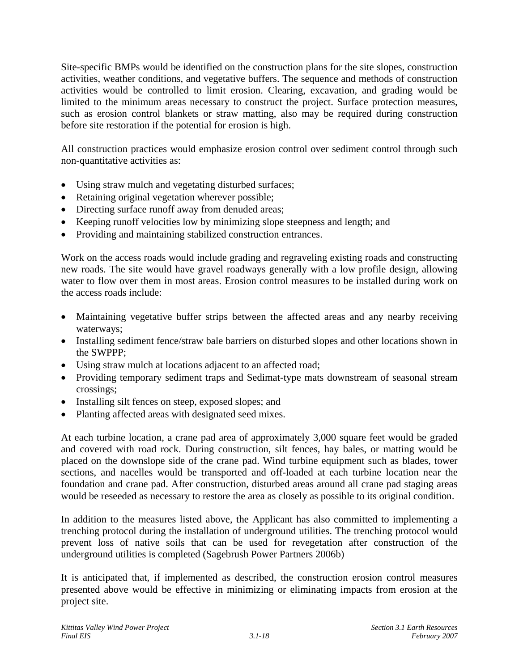Site-specific BMPs would be identified on the construction plans for the site slopes, construction activities, weather conditions, and vegetative buffers. The sequence and methods of construction activities would be controlled to limit erosion. Clearing, excavation, and grading would be limited to the minimum areas necessary to construct the project. Surface protection measures, such as erosion control blankets or straw matting, also may be required during construction before site restoration if the potential for erosion is high.

All construction practices would emphasize erosion control over sediment control through such non-quantitative activities as:

- Using straw mulch and vegetating disturbed surfaces;
- Retaining original vegetation wherever possible;
- Directing surface runoff away from denuded areas;
- Keeping runoff velocities low by minimizing slope steepness and length; and
- Providing and maintaining stabilized construction entrances.

Work on the access roads would include grading and regraveling existing roads and constructing new roads. The site would have gravel roadways generally with a low profile design, allowing water to flow over them in most areas. Erosion control measures to be installed during work on the access roads include:

- Maintaining vegetative buffer strips between the affected areas and any nearby receiving waterways;
- Installing sediment fence/straw bale barriers on disturbed slopes and other locations shown in the SWPPP;
- Using straw mulch at locations adjacent to an affected road;
- Providing temporary sediment traps and Sedimat-type mats downstream of seasonal stream crossings;
- Installing silt fences on steep, exposed slopes; and
- Planting affected areas with designated seed mixes.

At each turbine location, a crane pad area of approximately 3,000 square feet would be graded and covered with road rock. During construction, silt fences, hay bales, or matting would be placed on the downslope side of the crane pad. Wind turbine equipment such as blades, tower sections, and nacelles would be transported and off-loaded at each turbine location near the foundation and crane pad. After construction, disturbed areas around all crane pad staging areas would be reseeded as necessary to restore the area as closely as possible to its original condition.

In addition to the measures listed above, the Applicant has also committed to implementing a trenching protocol during the installation of underground utilities. The trenching protocol would prevent loss of native soils that can be used for revegetation after construction of the underground utilities is completed (Sagebrush Power Partners 2006b)

It is anticipated that, if implemented as described, the construction erosion control measures presented above would be effective in minimizing or eliminating impacts from erosion at the project site.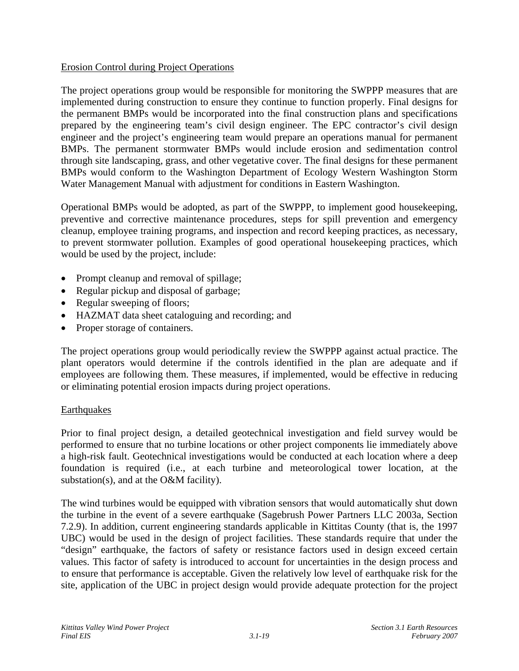# Erosion Control during Project Operations

The project operations group would be responsible for monitoring the SWPPP measures that are implemented during construction to ensure they continue to function properly. Final designs for the permanent BMPs would be incorporated into the final construction plans and specifications prepared by the engineering team's civil design engineer. The EPC contractor's civil design engineer and the project's engineering team would prepare an operations manual for permanent BMPs. The permanent stormwater BMPs would include erosion and sedimentation control through site landscaping, grass, and other vegetative cover. The final designs for these permanent BMPs would conform to the Washington Department of Ecology Western Washington Storm Water Management Manual with adjustment for conditions in Eastern Washington.

Operational BMPs would be adopted, as part of the SWPPP, to implement good housekeeping, preventive and corrective maintenance procedures, steps for spill prevention and emergency cleanup, employee training programs, and inspection and record keeping practices, as necessary, to prevent stormwater pollution. Examples of good operational housekeeping practices, which would be used by the project, include:

- Prompt cleanup and removal of spillage;
- Regular pickup and disposal of garbage;
- Regular sweeping of floors;
- HAZMAT data sheet cataloguing and recording; and
- Proper storage of containers.

The project operations group would periodically review the SWPPP against actual practice. The plant operators would determine if the controls identified in the plan are adequate and if employees are following them. These measures, if implemented, would be effective in reducing or eliminating potential erosion impacts during project operations.

# **Earthquakes**

Prior to final project design, a detailed geotechnical investigation and field survey would be performed to ensure that no turbine locations or other project components lie immediately above a high-risk fault. Geotechnical investigations would be conducted at each location where a deep foundation is required (i.e., at each turbine and meteorological tower location, at the substation(s), and at the O&M facility).

The wind turbines would be equipped with vibration sensors that would automatically shut down the turbine in the event of a severe earthquake (Sagebrush Power Partners LLC 2003a, Section 7.2.9). In addition, current engineering standards applicable in Kittitas County (that is, the 1997 UBC) would be used in the design of project facilities. These standards require that under the "design" earthquake, the factors of safety or resistance factors used in design exceed certain values. This factor of safety is introduced to account for uncertainties in the design process and to ensure that performance is acceptable. Given the relatively low level of earthquake risk for the site, application of the UBC in project design would provide adequate protection for the project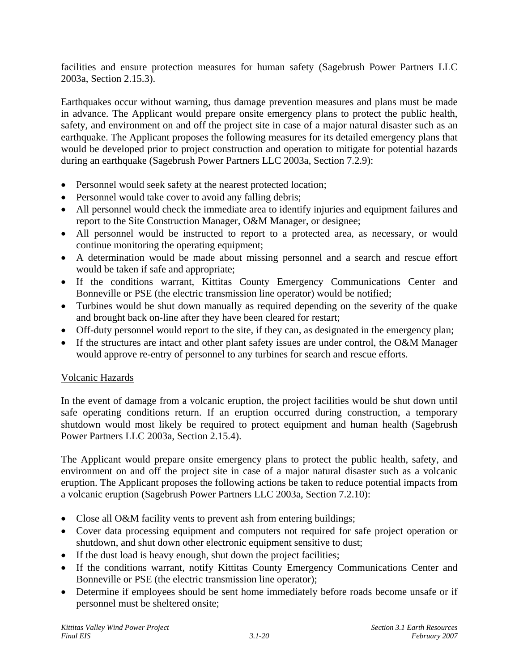facilities and ensure protection measures for human safety (Sagebrush Power Partners LLC 2003a, Section 2.15.3).

Earthquakes occur without warning, thus damage prevention measures and plans must be made in advance. The Applicant would prepare onsite emergency plans to protect the public health, safety, and environment on and off the project site in case of a major natural disaster such as an earthquake. The Applicant proposes the following measures for its detailed emergency plans that would be developed prior to project construction and operation to mitigate for potential hazards during an earthquake (Sagebrush Power Partners LLC 2003a, Section 7.2.9):

- Personnel would seek safety at the nearest protected location;
- Personnel would take cover to avoid any falling debris;
- All personnel would check the immediate area to identify injuries and equipment failures and report to the Site Construction Manager, O&M Manager, or designee;
- All personnel would be instructed to report to a protected area, as necessary, or would continue monitoring the operating equipment;
- A determination would be made about missing personnel and a search and rescue effort would be taken if safe and appropriate;
- If the conditions warrant, Kittitas County Emergency Communications Center and Bonneville or PSE (the electric transmission line operator) would be notified;
- Turbines would be shut down manually as required depending on the severity of the quake and brought back on-line after they have been cleared for restart;
- Off-duty personnel would report to the site, if they can, as designated in the emergency plan;
- If the structures are intact and other plant safety issues are under control, the O&M Manager would approve re-entry of personnel to any turbines for search and rescue efforts.

# Volcanic Hazards

In the event of damage from a volcanic eruption, the project facilities would be shut down until safe operating conditions return. If an eruption occurred during construction, a temporary shutdown would most likely be required to protect equipment and human health (Sagebrush Power Partners LLC 2003a, Section 2.15.4).

The Applicant would prepare onsite emergency plans to protect the public health, safety, and environment on and off the project site in case of a major natural disaster such as a volcanic eruption. The Applicant proposes the following actions be taken to reduce potential impacts from a volcanic eruption (Sagebrush Power Partners LLC 2003a, Section 7.2.10):

- Close all O&M facility vents to prevent ash from entering buildings;
- Cover data processing equipment and computers not required for safe project operation or shutdown, and shut down other electronic equipment sensitive to dust;
- If the dust load is heavy enough, shut down the project facilities;
- If the conditions warrant, notify Kittitas County Emergency Communications Center and Bonneville or PSE (the electric transmission line operator);
- Determine if employees should be sent home immediately before roads become unsafe or if personnel must be sheltered onsite;